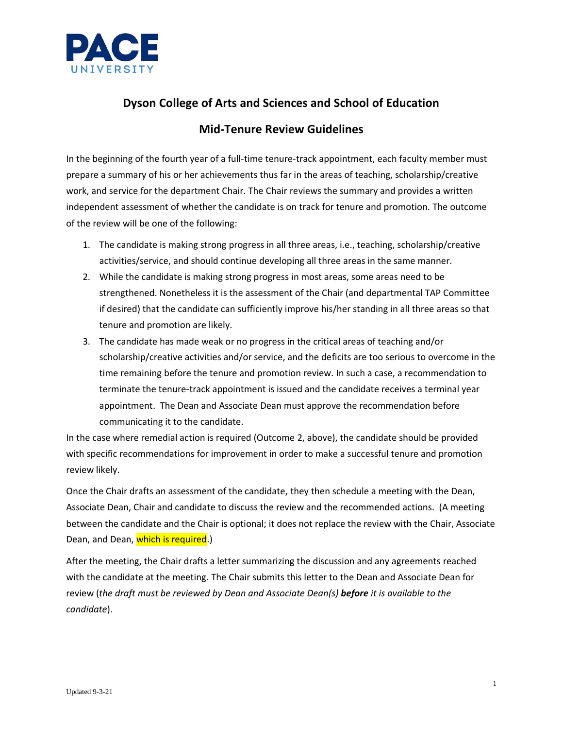

# **Dyson College of Arts and Sciences and School of Education**

### **Mid-Tenure Review Guidelines**

In the beginning of the fourth year of a full-time tenure-track appointment, each faculty member must prepare a summary of his or her achievements thus far in the areas of teaching, scholarship/creative work, and service for the department Chair. The Chair reviews the summary and provides a written independent assessment of whether the candidate is on track for tenure and promotion. The outcome of the review will be one of the following:

- 1. The candidate is making strong progress in all three areas, i.e., teaching, scholarship/creative activities/service, and should continue developing all three areas in the same manner.
- 2. While the candidate is making strong progress in most areas, some areas need to be strengthened. Nonetheless it is the assessment of the Chair (and departmental TAP Committee if desired) that the candidate can sufficiently improve his/her standing in all three areas so that tenure and promotion are likely.
- 3. The candidate has made weak or no progress in the critical areas of teaching and/or scholarship/creative activities and/or service, and the deficits are too serious to overcome in the time remaining before the tenure and promotion review. In such a case, a recommendation to terminate the tenure-track appointment is issued and the candidate receives a terminal year appointment. The Dean and Associate Dean must approve the recommendation before communicating it to the candidate.

In the case where remedial action is required (Outcome 2, above), the candidate should be provided with specific recommendations for improvement in order to make a successful tenure and promotion review likely.

Once the Chair drafts an assessment of the candidate, they then schedule a meeting with the Dean, Associate Dean, Chair and candidate to discuss the review and the recommended actions. (A meeting between the candidate and the Chair is optional; it does not replace the review with the Chair, Associate Dean, and Dean, which is required.)

After the meeting, the Chair drafts a letter summarizing the discussion and any agreements reached with the candidate at the meeting. The Chair submits this letter to the Dean and Associate Dean for review (*the draft must be reviewed by Dean and Associate Dean(s) before it is available to the candidate*).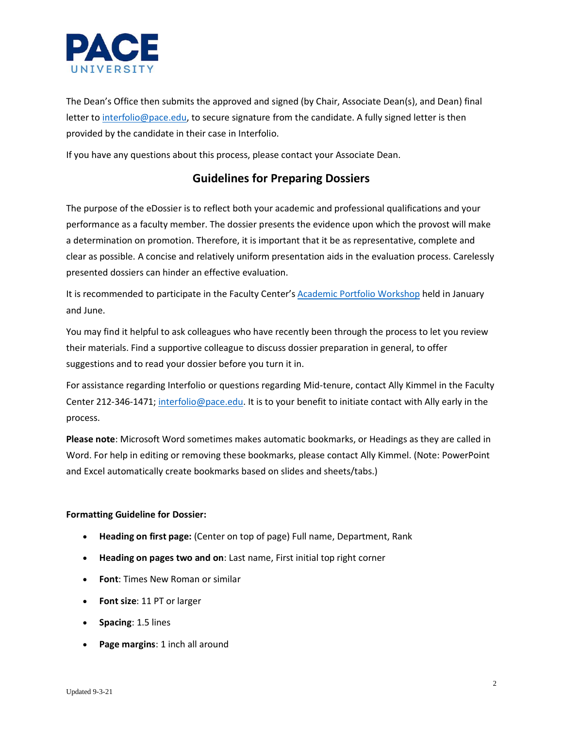

The Dean's Office then submits the approved and signed (by Chair, Associate Dean(s), and Dean) final letter to [interfolio@pace.edu,](mailto:interfolio@pace.edu) to secure signature from the candidate. A fully signed letter is then provided by the candidate in their case in Interfolio.

If you have any questions about this process, please contact your Associate Dean.

## **Guidelines for Preparing Dossiers**

The purpose of the eDossier is to reflect both your academic and professional qualifications and your performance as a faculty member. The dossier presents the evidence upon which the provost will make a determination on promotion. Therefore, it is important that it be as representative, complete and clear as possible. A concise and relatively uniform presentation aids in the evaluation process. Carelessly presented dossiers can hinder an effective evaluation.

It is recommended to participate in the Faculty Center's [Academic Portfolio Workshop](https://www.pace.edu/faculty-center/events/academic-portfolio-workshop) held in January and June.

You may find it helpful to ask colleagues who have recently been through the process to let you review their materials. Find a supportive colleague to discuss dossier preparation in general, to offer suggestions and to read your dossier before you turn it in.

For assistance regarding Interfolio or questions regarding Mid-tenure, contact Ally Kimmel in the Faculty Center 212-346-1471; [interfolio@pace.edu.](mailto:interfolio@pace.edu) It is to your benefit to initiate contact with Ally early in the process.

**Please note**: Microsoft Word sometimes makes automatic bookmarks, or Headings as they are called in Word. For help in editing or removing these bookmarks, please contact Ally Kimmel. (Note: PowerPoint and Excel automatically create bookmarks based on slides and sheets/tabs.)

### **Formatting Guideline for Dossier:**

- **Heading on first page:** (Center on top of page) Full name, Department, Rank
- **Heading on pages two and on**: Last name, First initial top right corner
- **Font**: Times New Roman or similar
- **Font size**: 11 PT or larger
- **Spacing**: 1.5 lines
- **Page margins**: 1 inch all around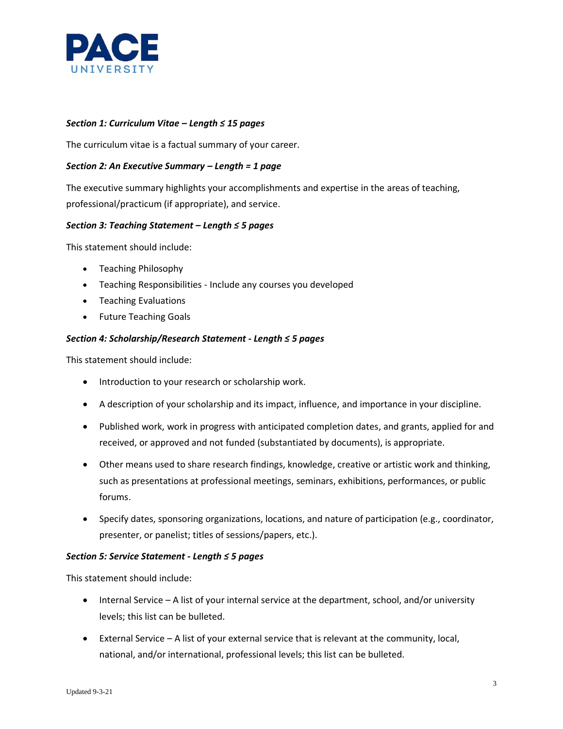

### *Section 1: Curriculum Vitae – Length ≤ 15 pages*

The curriculum vitae is a factual summary of your career.

### *Section 2: An Executive Summary – Length = 1 page*

The executive summary highlights your accomplishments and expertise in the areas of teaching, professional/practicum (if appropriate), and service.

### *Section 3: Teaching Statement – Length ≤ 5 pages*

This statement should include:

- Teaching Philosophy
- Teaching Responsibilities Include any courses you developed
- Teaching Evaluations
- Future Teaching Goals

### *Section 4: Scholarship/Research Statement - Length ≤ 5 pages*

This statement should include:

- Introduction to your research or scholarship work.
- A description of your scholarship and its impact, influence, and importance in your discipline.
- Published work, work in progress with anticipated completion dates, and grants, applied for and received, or approved and not funded (substantiated by documents), is appropriate.
- Other means used to share research findings, knowledge, creative or artistic work and thinking, such as presentations at professional meetings, seminars, exhibitions, performances, or public forums.
- Specify dates, sponsoring organizations, locations, and nature of participation (e.g., coordinator, presenter, or panelist; titles of sessions/papers, etc.).

### *Section 5: Service Statement - Length ≤ 5 pages*

This statement should include:

- Internal Service A list of your internal service at the department, school, and/or university levels; this list can be bulleted.
- External Service A list of your external service that is relevant at the community, local, national, and/or international, professional levels; this list can be bulleted.